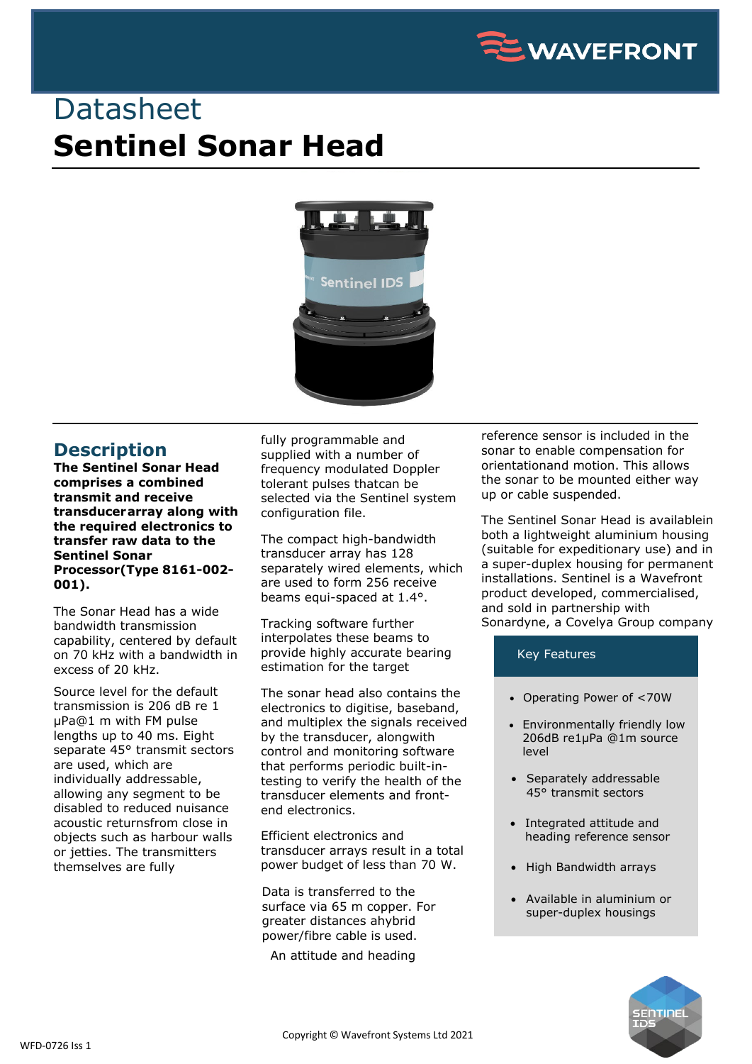

## **Datasheet Sentinel Sonar Head**



## **Description**

**The Sentinel Sonar Head comprises a combined transmit and receive transducerarray along with the required electronics to transfer raw data to the Sentinel Sonar Processor(Type 8161-002- 001).**

The Sonar Head has a wide bandwidth transmission capability, centered by default on 70 kHz with a bandwidth in excess of 20 kHz.

Source level for the default transmission is 206 dB re 1 µPa@1 m with FM pulse lengths up to 40 ms. Eight separate 45° transmit sectors are used, which are individually addressable, allowing any segment to be disabled to reduced nuisance acoustic returnsfrom close in objects such as harbour walls or jetties. The transmitters themselves are fully

fully programmable and supplied with a number of frequency modulated Doppler tolerant pulses thatcan be selected via the Sentinel system configuration file.

The compact high-bandwidth transducer array has 128 separately wired elements, which are used to form 256 receive beams equi-spaced at 1.4°.

Tracking software further interpolates these beams to provide highly accurate bearing estimation for the target

The sonar head also contains the electronics to digitise, baseband, and multiplex the signals received by the transducer, alongwith control and monitoring software that performs periodic built-intesting to verify the health of the transducer elements and frontend electronics.

Efficient electronics and transducer arrays result in a total power budget of less than 70 W.

Data is transferred to the surface via 65 m copper. For greater distances ahybrid power/fibre cable is used.

An attitude and heading

reference sensor is included in the sonar to enable compensation for orientationand motion. This allows the sonar to be mounted either way up or cable suspended.

The Sentinel Sonar Head is availablein both a lightweight aluminium housing (suitable for expeditionary use) and in a super-duplex housing for permanent installations. Sentinel is a Wavefront product developed, commercialised, and sold in partnership with Sonardyne, a Covelya Group company

## Key Features

- Operating Power of <70W
- Environmentally friendly low 206dB re1μPa @1m source level
- Separately addressable 45° transmit sectors
- Integrated attitude and heading reference sensor
- High Bandwidth arrays
- Available in aluminium or super-duplex housings